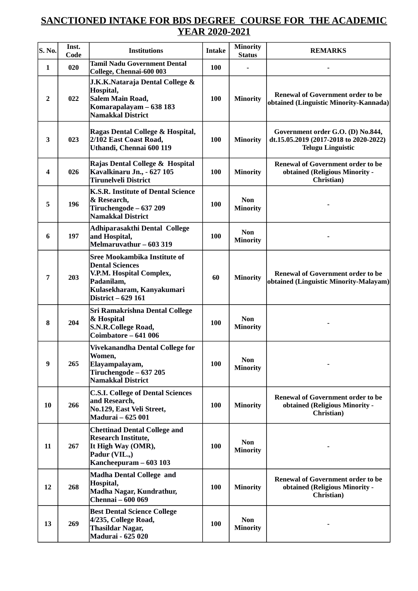## **SANCTIONED INTAKE FOR BDS DEGREE COURSE FOR THE ACADEMIC YEAR 2020-2021**

| <b>S. No.</b> | Inst.<br>Code | <b>Institutions</b>                                                                                                                                        | <b>Intake</b> | <b>Minority</b><br><b>Status</b> | <b>REMARKS</b>                                                                                          |
|---------------|---------------|------------------------------------------------------------------------------------------------------------------------------------------------------------|---------------|----------------------------------|---------------------------------------------------------------------------------------------------------|
| $\mathbf{1}$  | 020           | <b>Tamil Nadu Government Dental</b><br>College, Chennai-600 003                                                                                            | <b>100</b>    |                                  |                                                                                                         |
| 2             | 022           | J.K.K.Nataraja Dental College &<br>Hospital,<br><b>Salem Main Road,</b><br>Komarapalayam - 638 183<br><b>Namakkal District</b>                             | 100           | <b>Minority</b>                  | <b>Renewal of Government order to be</b><br>obtained (Linguistic Minority-Kannada)                      |
| 3             | 023           | Ragas Dental College & Hospital,<br>2/102 East Coast Road,<br>Uthandi, Chennai 600 119                                                                     | 100           | <b>Minority</b>                  | Government order G.O. (D) No.844,<br>dt.15.05.2019 (2017-2018 to 2020-2022)<br><b>Telugu Linguistic</b> |
| 4             | 026           | Rajas Dental College & Hospital<br>Kavalkinaru Jn., - 627 105<br><b>Tirunelveli District</b>                                                               | 100           | <b>Minority</b>                  | <b>Renewal of Government order to be</b><br>obtained (Religious Minority -<br>Christian)                |
| 5             | 196           | K.S.R. Institute of Dental Science<br>& Research,<br>Tiruchengode - 637 209<br><b>Namakkal District</b>                                                    | 100           | <b>Non</b><br><b>Minority</b>    |                                                                                                         |
| 6             | 197           | Adhiparasakthi Dental College<br>and Hospital,<br>Melmaruvathur - 603 319                                                                                  | 100           | <b>Non</b><br><b>Minority</b>    |                                                                                                         |
| 7             | 203           | <b>Sree Mookambika Institute of</b><br><b>Dental Sciences</b><br>V.P.M. Hospital Complex,<br>Padanilam,<br>Kulasekharam, Kanyakumari<br>District - 629 161 | 60            | <b>Minority</b>                  | <b>Renewal of Government order to be</b><br>obtained (Linguistic Minority-Malayam)                      |
| 8             | 204           | <b>Sri Ramakrishna Dental College</b><br>& Hospital<br><b>S.N.R.College Road,</b><br>Coimbatore - 641 006                                                  | <b>100</b>    | <b>Non</b><br><b>Minority</b>    |                                                                                                         |
| 9             | 265           | Vivekanandha Dental College for<br>Women,<br>Elayampalayam,<br>Tiruchengode - 637 205<br><b>Namakkal District</b>                                          | 100           | <b>Non</b><br><b>Minority</b>    |                                                                                                         |
| 10            | 266           | <b>C.S.I. College of Dental Sciences</b><br>and Research,<br>No.129, East Veli Street,<br><b>Madurai - 625 001</b>                                         | 100           | <b>Minority</b>                  | <b>Renewal of Government order to be</b><br>obtained (Religious Minority -<br>Christian)                |
| 11            | 267           | <b>Chettinad Dental College and</b><br><b>Research Institute,</b><br>It High Way (OMR),<br>Padur (VIL.,)<br>Kancheepuram - 603 103                         | 100           | <b>Non</b><br><b>Minority</b>    |                                                                                                         |
| 12            | 268           | <b>Madha Dental College and</b><br>Hospital,<br>Madha Nagar, Kundrathur,<br><b>Chennai - 600 069</b>                                                       | 100           | <b>Minority</b>                  | <b>Renewal of Government order to be</b><br>obtained (Religious Minority -<br>Christian)                |
| 13            | 269           | <b>Best Dental Science College</b><br>4/235, College Road,<br><b>Thasildar Nagar,</b><br><b>Madurai - 625 020</b>                                          | 100           | <b>Non</b><br><b>Minority</b>    |                                                                                                         |